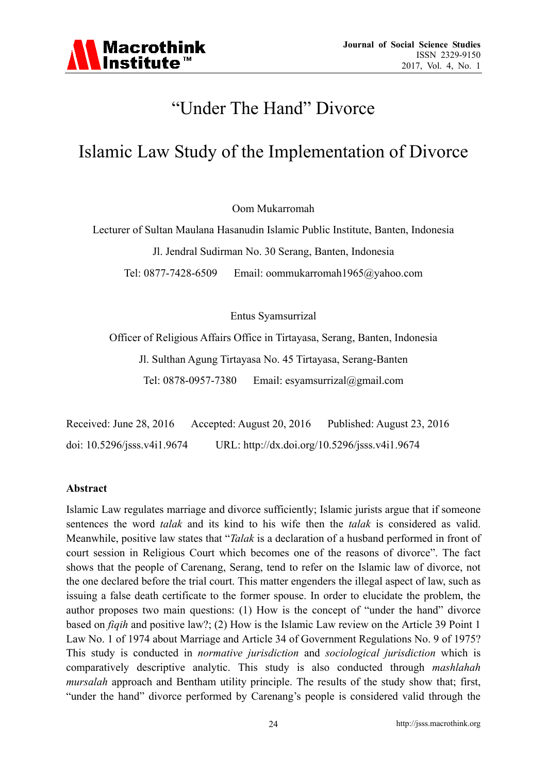

# "Under The Hand" Divorce

# Islamic Law Study of the Implementation of Divorce

Oom Mukarromah

Lecturer of Sultan Maulana Hasanudin Islamic Public Institute, Banten, Indonesia

Jl. Jendral Sudirman No. 30 Serang, Banten, Indonesia

Tel: 0877-7428-6509 Email: oommukarromah1965@yahoo.com

Entus Syamsurrizal

Officer of Religious Affairs Office in Tirtayasa, Serang, Banten, Indonesia

Jl. Sulthan Agung Tirtayasa No. 45 Tirtayasa, Serang-Banten

Tel: 0878-0957-7380 Email: esyamsurrizal@gmail.com

Received: June 28, 2016 Accepted: August 20, 2016 Published: August 23, 2016 doi: 10.5296/jsss.v4i1.9674 URL: http://dx.doi.org/10.5296/jsss.v4i1.9674

#### **Abstract**

Islamic Law regulates marriage and divorce sufficiently; Islamic jurists argue that if someone sentences the word *talak* and its kind to his wife then the *talak* is considered as valid. Meanwhile, positive law states that "*Talak* is a declaration of a husband performed in front of court session in Religious Court which becomes one of the reasons of divorce". The fact shows that the people of Carenang, Serang, tend to refer on the Islamic law of divorce, not the one declared before the trial court. This matter engenders the illegal aspect of law, such as issuing a false death certificate to the former spouse. In order to elucidate the problem, the author proposes two main questions: (1) How is the concept of "under the hand" divorce based on *fiqih* and positive law?; (2) How is the Islamic Law review on the Article 39 Point 1 Law No. 1 of 1974 about Marriage and Article 34 of Government Regulations No. 9 of 1975? This study is conducted in *normative jurisdiction* and *sociological jurisdiction* which is comparatively descriptive analytic. This study is also conducted through *mashlahah mursalah* approach and Bentham utility principle. The results of the study show that; first, "under the hand" divorce performed by Carenang's people is considered valid through the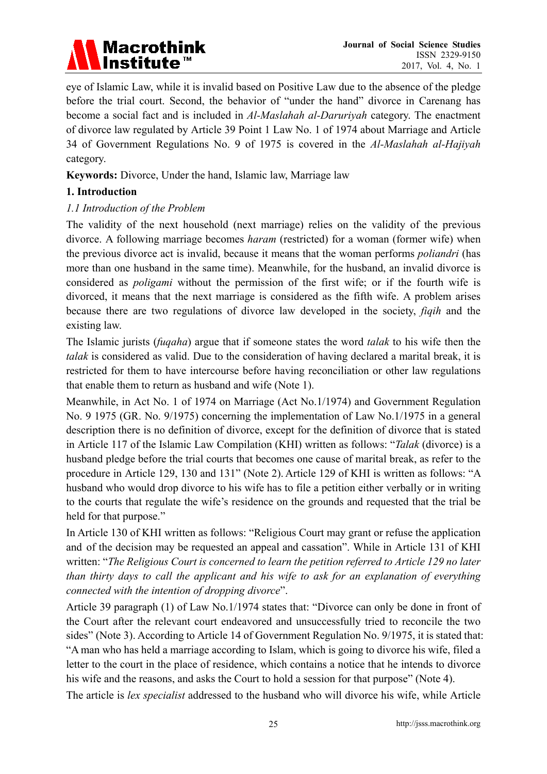

eye of Islamic Law, while it is invalid based on Positive Law due to the absence of the pledge before the trial court. Second, the behavior of "under the hand" divorce in Carenang has become a social fact and is included in *Al-Maslahah al-Daruriyah* category. The enactment of divorce law regulated by Article 39 Point 1 Law No. 1 of 1974 about Marriage and Article 34 of Government Regulations No. 9 of 1975 is covered in the *Al-Maslahah al-Hajiyah*  category.

**Keywords:** Divorce, Under the hand, Islamic law, Marriage law

#### **1. Introduction**

#### *1.1 Introduction of the Problem*

The validity of the next household (next marriage) relies on the validity of the previous divorce. A following marriage becomes *haram* (restricted) for a woman (former wife) when the previous divorce act is invalid, because it means that the woman performs *poliandri* (has more than one husband in the same time). Meanwhile, for the husband, an invalid divorce is considered as *poligami* without the permission of the first wife; or if the fourth wife is divorced, it means that the next marriage is considered as the fifth wife. A problem arises because there are two regulations of divorce law developed in the society, *fiqih* and the existing law.

The Islamic jurists (*fuqaha*) argue that if someone states the word *talak* to his wife then the *talak* is considered as valid. Due to the consideration of having declared a marital break, it is restricted for them to have intercourse before having reconciliation or other law regulations that enable them to return as husband and wife (Note 1).

Meanwhile, in Act No. 1 of 1974 on Marriage (Act No.1/1974) and Government Regulation No. 9 1975 (GR. No. 9/1975) concerning the implementation of Law No.1/1975 in a general description there is no definition of divorce, except for the definition of divorce that is stated in Article 117 of the Islamic Law Compilation (KHI) written as follows: "*Talak* (divorce) is a husband pledge before the trial courts that becomes one cause of marital break, as refer to the procedure in Article 129, 130 and 131" (Note 2). Article 129 of KHI is written as follows: "A husband who would drop divorce to his wife has to file a petition either verbally or in writing to the courts that regulate the wife's residence on the grounds and requested that the trial be held for that purpose."

In Article 130 of KHI written as follows: "Religious Court may grant or refuse the application and of the decision may be requested an appeal and cassation". While in Article 131 of KHI written: "*The Religious Court is concerned to learn the petition referred to Article 129 no later than thirty days to call the applicant and his wife to ask for an explanation of everything connected with the intention of dropping divorce*".

Article 39 paragraph (1) of Law No.1/1974 states that: "Divorce can only be done in front of the Court after the relevant court endeavored and unsuccessfully tried to reconcile the two sides" (Note 3). According to Article 14 of Government Regulation No. 9/1975, it is stated that: "A man who has held a marriage according to Islam, which is going to divorce his wife, filed a letter to the court in the place of residence, which contains a notice that he intends to divorce his wife and the reasons, and asks the Court to hold a session for that purpose" (Note 4).

The article is *lex specialist* addressed to the husband who will divorce his wife, while Article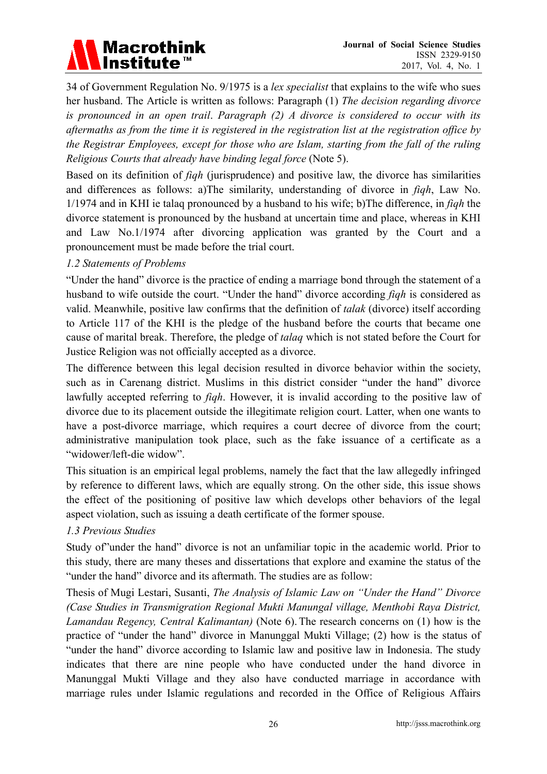## **Macrothink** <u>Institute</u>™

34 of Government Regulation No. 9/1975 is a *lex specialist* that explains to the wife who sues her husband. The Article is written as follows: Paragraph (1) *The decision regarding divorce is pronounced in an open trail*. *Paragraph (2) A divorce is considered to occur with its aftermaths as from the time it is registered in the registration list at the registration office by the Registrar Employees, except for those who are Islam, starting from the fall of the ruling Religious Courts that already have binding legal force* (Note 5).

Based on its definition of *fiqh* (jurisprudence) and positive law, the divorce has similarities and differences as follows: a)The similarity, understanding of divorce in *fiqh*, Law No. 1/1974 and in KHI ie talaq pronounced by a husband to his wife; b)The difference, in *fiqh* the divorce statement is pronounced by the husband at uncertain time and place, whereas in KHI and Law No.1/1974 after divorcing application was granted by the Court and a pronouncement must be made before the trial court.

#### *1.2 Statements of Problems*

"Under the hand" divorce is the practice of ending a marriage bond through the statement of a husband to wife outside the court. "Under the hand" divorce according *fiqh* is considered as valid. Meanwhile, positive law confirms that the definition of *talak* (divorce) itself according to Article 117 of the KHI is the pledge of the husband before the courts that became one cause of marital break. Therefore, the pledge of *talaq* which is not stated before the Court for Justice Religion was not officially accepted as a divorce.

The difference between this legal decision resulted in divorce behavior within the society, such as in Carenang district. Muslims in this district consider "under the hand" divorce lawfully accepted referring to *fiqh*. However, it is invalid according to the positive law of divorce due to its placement outside the illegitimate religion court. Latter, when one wants to have a post-divorce marriage, which requires a court decree of divorce from the court; administrative manipulation took place, such as the fake issuance of a certificate as a "widower/left-die widow".

This situation is an empirical legal problems, namely the fact that the law allegedly infringed by reference to different laws, which are equally strong. On the other side, this issue shows the effect of the positioning of positive law which develops other behaviors of the legal aspect violation, such as issuing a death certificate of the former spouse.

## *1.3 Previous Studies*

Study of"under the hand" divorce is not an unfamiliar topic in the academic world. Prior to this study, there are many theses and dissertations that explore and examine the status of the "under the hand" divorce and its aftermath. The studies are as follow:

Thesis of Mugi Lestari, Susanti, *The Analysis of Islamic Law on "Under the Hand" Divorce (Case Studies in Transmigration Regional Mukti Manungal village, Menthobi Raya District, Lamandau Regency, Central Kalimantan)* (Note 6). The research concerns on (1) how is the practice of "under the hand" divorce in Manunggal Mukti Village; (2) how is the status of "under the hand" divorce according to Islamic law and positive law in Indonesia. The study indicates that there are nine people who have conducted under the hand divorce in Manunggal Mukti Village and they also have conducted marriage in accordance with marriage rules under Islamic regulations and recorded in the Office of Religious Affairs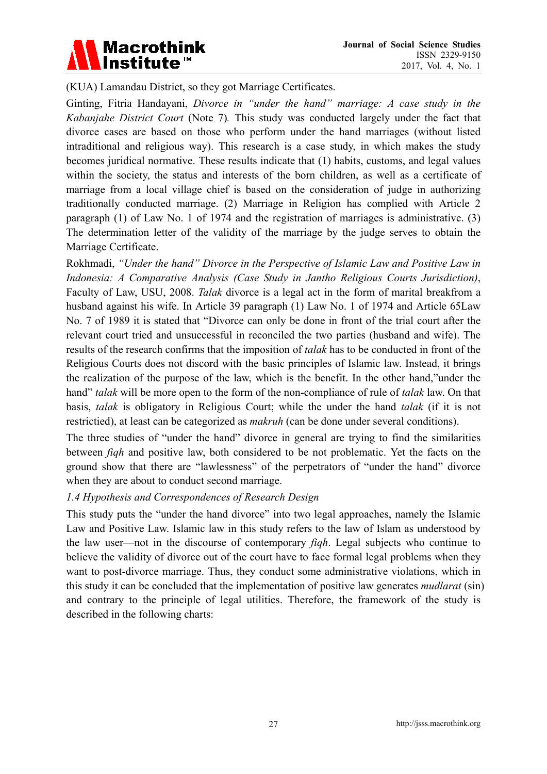

(KUA) Lamandau District, so they got Marriage Certificates.

Ginting, Fitria Handayani, *Divorce in "under the hand" marriage: A case study in the Kabanjahe District Court* (Note 7)*.* This study was conducted largely under the fact that divorce cases are based on those who perform under the hand marriages (without listed intraditional and religious way). This research is a case study, in which makes the study becomes juridical normative. These results indicate that (1) habits, customs, and legal values within the society, the status and interests of the born children, as well as a certificate of marriage from a local village chief is based on the consideration of judge in authorizing traditionally conducted marriage. (2) Marriage in Religion has complied with Article 2 paragraph (1) of Law No. 1 of 1974 and the registration of marriages is administrative. (3) The determination letter of the validity of the marriage by the judge serves to obtain the Marriage Certificate.

Rokhmadi, *"Under the hand" Divorce in the Perspective of Islamic Law and Positive Law in Indonesia: A Comparative Analysis (Case Study in Jantho Religious Courts Jurisdiction)*, Faculty of Law, USU, 2008. *Talak* divorce is a legal act in the form of marital breakfrom a husband against his wife. In Article 39 paragraph (1) Law No. 1 of 1974 and Article 65Law No. 7 of 1989 it is stated that "Divorce can only be done in front of the trial court after the relevant court tried and unsuccessful in reconciled the two parties (husband and wife). The results of the research confirms that the imposition of *talak* has to be conducted in front of the Religious Courts does not discord with the basic principles of Islamic law. Instead, it brings the realization of the purpose of the law, which is the benefit. In the other hand,"under the hand" *talak* will be more open to the form of the non-compliance of rule of *talak* law. On that basis, *talak* is obligatory in Religious Court; while the under the hand *talak* (if it is not restrictied), at least can be categorized as *makruh* (can be done under several conditions).

The three studies of "under the hand" divorce in general are trying to find the similarities between *fiqh* and positive law, both considered to be not problematic. Yet the facts on the ground show that there are "lawlessness" of the perpetrators of "under the hand" divorce when they are about to conduct second marriage.

#### *1.4 Hypothesis and Correspondences of Research Design*

This study puts the "under the hand divorce" into two legal approaches, namely the Islamic Law and Positive Law. Islamic law in this study refers to the law of Islam as understood by the law user—not in the discourse of contemporary *fiqh*. Legal subjects who continue to believe the validity of divorce out of the court have to face formal legal problems when they want to post-divorce marriage. Thus, they conduct some administrative violations, which in this study it can be concluded that the implementation of positive law generates *mudlarat* (sin) and contrary to the principle of legal utilities. Therefore, the framework of the study is described in the following charts: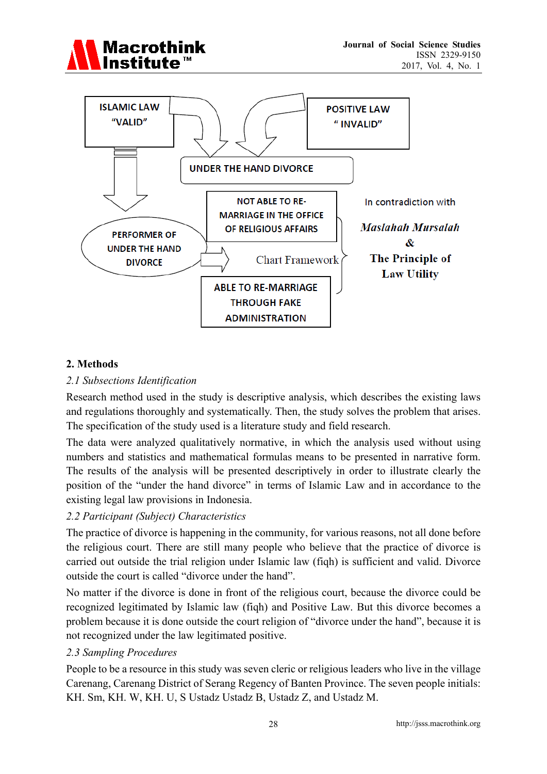



## **2. Methods**

#### *2.1 Subsections Identification*

Research method used in the study is descriptive analysis, which describes the existing laws and regulations thoroughly and systematically. Then, the study solves the problem that arises. The specification of the study used is a literature study and field research.

The data were analyzed qualitatively normative, in which the analysis used without using numbers and statistics and mathematical formulas means to be presented in narrative form. The results of the analysis will be presented descriptively in order to illustrate clearly the position of the "under the hand divorce" in terms of Islamic Law and in accordance to the existing legal law provisions in Indonesia.

## *2.2 Participant (Subject) Characteristics*

The practice of divorce is happening in the community, for various reasons, not all done before the religious court. There are still many people who believe that the practice of divorce is carried out outside the trial religion under Islamic law (fiqh) is sufficient and valid. Divorce outside the court is called "divorce under the hand".

No matter if the divorce is done in front of the religious court, because the divorce could be recognized legitimated by Islamic law (fiqh) and Positive Law. But this divorce becomes a problem because it is done outside the court religion of "divorce under the hand", because it is not recognized under the law legitimated positive.

#### *2.3 Sampling Procedures*

People to be a resource in this study was seven cleric or religious leaders who live in the village Carenang, Carenang District of Serang Regency of Banten Province. The seven people initials: KH. Sm, KH. W, KH. U, S Ustadz Ustadz B, Ustadz Z, and Ustadz M.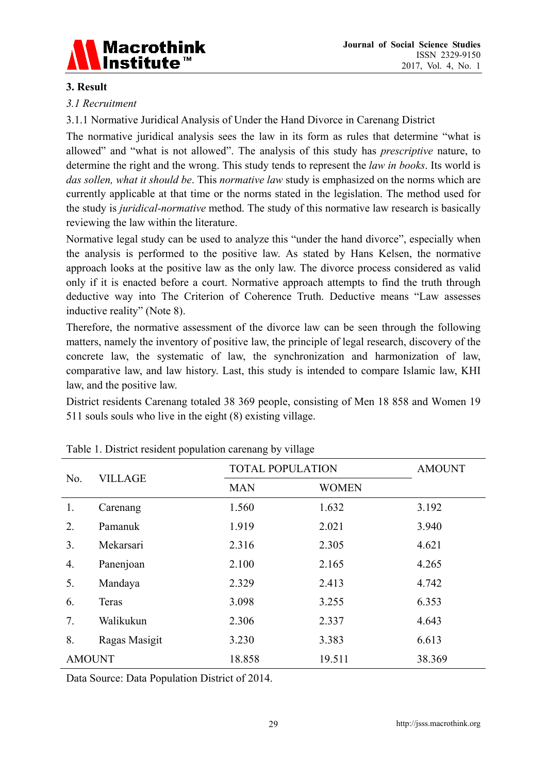

## **3. Result**

#### *3.1 Recruitment*

3.1.1 Normative Juridical Analysis of Under the Hand Divorce in Carenang District

The normative juridical analysis sees the law in its form as rules that determine "what is allowed" and "what is not allowed". The analysis of this study has *prescriptive* nature, to determine the right and the wrong. This study tends to represent the *law in books*. Its world is *das sollen, what it should be*. This *normative law* study is emphasized on the norms which are currently applicable at that time or the norms stated in the legislation. The method used for the study is *juridical-normative* method. The study of this normative law research is basically reviewing the law within the literature.

Normative legal study can be used to analyze this "under the hand divorce", especially when the analysis is performed to the positive law. As stated by Hans Kelsen, the normative approach looks at the positive law as the only law. The divorce process considered as valid only if it is enacted before a court. Normative approach attempts to find the truth through deductive way into The Criterion of Coherence Truth. Deductive means "Law assesses inductive reality" (Note 8).

Therefore, the normative assessment of the divorce law can be seen through the following matters, namely the inventory of positive law, the principle of legal research, discovery of the concrete law, the systematic of law, the synchronization and harmonization of law, comparative law, and law history. Last, this study is intended to compare Islamic law, KHI law, and the positive law.

District residents Carenang totaled 38 369 people, consisting of Men 18 858 and Women 19 511 souls souls who live in the eight (8) existing village.

| No.           | <b>VILLAGE</b> | <b>TOTAL POPULATION</b> |              | <b>AMOUNT</b> |
|---------------|----------------|-------------------------|--------------|---------------|
|               |                | <b>MAN</b>              | <b>WOMEN</b> |               |
| 1.            | Carenang       | 1.560                   | 1.632        | 3.192         |
| 2.            | Pamanuk        | 1.919                   | 2.021        | 3.940         |
| 3.            | Mekarsari      | 2.316                   | 2.305        | 4.621         |
| 4.            | Panenjoan      | 2.100                   | 2.165        | 4.265         |
| 5.            | Mandaya        | 2.329                   | 2.413        | 4.742         |
| 6.            | Teras          | 3.098                   | 3.255        | 6.353         |
| 7.            | Walikukun      | 2.306                   | 2.337        | 4.643         |
| 8.            | Ragas Masigit  | 3.230                   | 3.383        | 6.613         |
| <b>AMOUNT</b> |                | 18.858                  | 19.511       | 38.369        |

Table 1. District resident population carenang by village

Data Source: Data Population District of 2014.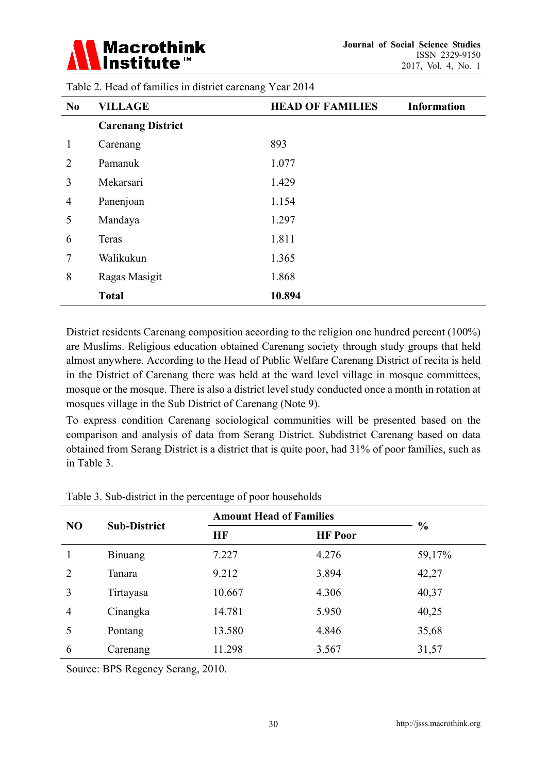

| N <sub>0</sub> | <b>VILLAGE</b>           | <b>HEAD OF FAMILIES</b> | <b>Information</b> |
|----------------|--------------------------|-------------------------|--------------------|
|                | <b>Carenang District</b> |                         |                    |
| 1              | Carenang                 | 893                     |                    |
| $\overline{2}$ | Pamanuk                  | 1.077                   |                    |
| 3              | Mekarsari                | 1.429                   |                    |
| 4              | Panenjoan                | 1.154                   |                    |
| 5              | Mandaya                  | 1.297                   |                    |
| 6              | Teras                    | 1.811                   |                    |
| 7              | Walikukun                | 1.365                   |                    |
| 8              | Ragas Masigit            | 1.868                   |                    |
|                | <b>Total</b>             | 10.894                  |                    |

Table 2. Head of families in district carenang Year 2014

District residents Carenang composition according to the religion one hundred percent (100%) are Muslims. Religious education obtained Carenang society through study groups that held almost anywhere. According to the Head of Public Welfare Carenang District of recita is held in the District of Carenang there was held at the ward level village in mosque committees, mosque or the mosque. There is also a district level study conducted once a month in rotation at mosques village in the Sub District of Carenang (Note 9).

To express condition Carenang sociological communities will be presented based on the comparison and analysis of data from Serang District. Subdistrict Carenang based on data obtained from Serang District is a district that is quite poor, had 31% of poor families, such as in Table 3.

| N <sub>O</sub> | <b>Sub-District</b> | <b>Amount Head of Families</b> |                |               |
|----------------|---------------------|--------------------------------|----------------|---------------|
|                |                     | <b>HF</b>                      | <b>HF</b> Poor | $\frac{0}{0}$ |
|                | <b>Binuang</b>      | 7.227                          | 4.276          | 59,17%        |
| $\overline{2}$ | Tanara              | 9.212                          | 3.894          | 42,27         |
| 3              | Tirtayasa           | 10.667                         | 4.306          | 40,37         |
| $\overline{4}$ | Cinangka            | 14.781                         | 5.950          | 40,25         |
| 5              | Pontang             | 13.580                         | 4.846          | 35,68         |
| 6              | Carenang            | 11.298                         | 3.567          | 31,57         |

Table 3. Sub-district in the percentage of poor households

Source: BPS Regency Serang, 2010.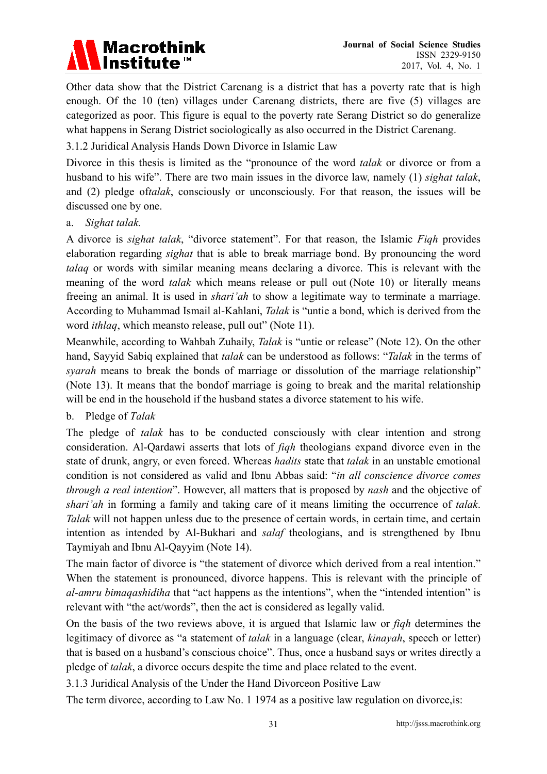## **Macrothink** Institute<sup>™</sup>

Other data show that the District Carenang is a district that has a poverty rate that is high enough. Of the 10 (ten) villages under Carenang districts, there are five (5) villages are categorized as poor. This figure is equal to the poverty rate Serang District so do generalize what happens in Serang District sociologically as also occurred in the District Carenang.

## 3.1.2 Juridical Analysis Hands Down Divorce in Islamic Law

Divorce in this thesis is limited as the "pronounce of the word *talak* or divorce or from a husband to his wife". There are two main issues in the divorce law, namely (1) *sighat talak*, and (2) pledge of*talak*, consciously or unconsciously. For that reason, the issues will be discussed one by one.

a. *Sighat talak.*

A divorce is *sighat talak*, "divorce statement". For that reason, the Islamic *Fiqh* provides elaboration regarding *sighat* that is able to break marriage bond. By pronouncing the word *talaq* or words with similar meaning means declaring a divorce. This is relevant with the meaning of the word *talak* which means release or pull out (Note 10) or literally means freeing an animal. It is used in *shari'ah* to show a legitimate way to terminate a marriage. According to Muhammad Ismail al-Kahlani, *Talak* is "untie a bond, which is derived from the word *ithlaq*, which meansto release, pull out" (Note 11).

Meanwhile, according to Wahbah Zuhaily, *Talak* is "untie or release" (Note 12). On the other hand, Sayyid Sabiq explained that *talak* can be understood as follows: "*Talak* in the terms of *syarah* means to break the bonds of marriage or dissolution of the marriage relationship" (Note 13). It means that the bondof marriage is going to break and the marital relationship will be end in the household if the husband states a divorce statement to his wife.

## b. Pledge of *Talak*

The pledge of *talak* has to be conducted consciously with clear intention and strong consideration. Al-Qardawi asserts that lots of *fiqh* theologians expand divorce even in the state of drunk, angry, or even forced. Whereas *hadits* state that *talak* in an unstable emotional condition is not considered as valid and Ibnu Abbas said: "*in all conscience divorce comes through a real intention*". However, all matters that is proposed by *nash* and the objective of *shari'ah* in forming a family and taking care of it means limiting the occurrence of *talak*. *Talak* will not happen unless due to the presence of certain words, in certain time, and certain intention as intended by Al-Bukhari and *salaf* theologians, and is strengthened by Ibnu Taymiyah and Ibnu Al-Qayyim (Note 14).

The main factor of divorce is "the statement of divorce which derived from a real intention." When the statement is pronounced, divorce happens. This is relevant with the principle of *al-amru bimaqashidiha* that "act happens as the intentions", when the "intended intention" is relevant with "the act/words", then the act is considered as legally valid.

On the basis of the two reviews above, it is argued that Islamic law or *fiqh* determines the legitimacy of divorce as "a statement of *talak* in a language (clear, *kinayah*, speech or letter) that is based on a husband's conscious choice". Thus, once a husband says or writes directly a pledge of *talak*, a divorce occurs despite the time and place related to the event.

3.1.3 Juridical Analysis of the Under the Hand Divorceon Positive Law

The term divorce, according to Law No. 1 1974 as a positive law regulation on divorce,is: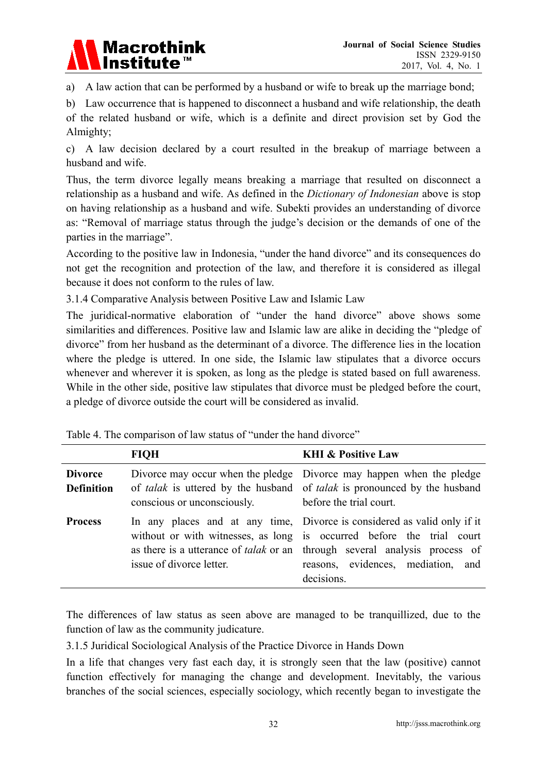

a) A law action that can be performed by a husband or wife to break up the marriage bond;

b) Law occurrence that is happened to disconnect a husband and wife relationship, the death of the related husband or wife, which is a definite and direct provision set by God the Almighty;

c) A law decision declared by a court resulted in the breakup of marriage between a husband and wife.

Thus, the term divorce legally means breaking a marriage that resulted on disconnect a relationship as a husband and wife. As defined in the *Dictionary of Indonesian* above is stop on having relationship as a husband and wife. Subekti provides an understanding of divorce as: "Removal of marriage status through the judge's decision or the demands of one of the parties in the marriage".

According to the positive law in Indonesia, "under the hand divorce" and its consequences do not get the recognition and protection of the law, and therefore it is considered as illegal because it does not conform to the rules of law.

3.1.4 Comparative Analysis between Positive Law and Islamic Law

The juridical-normative elaboration of "under the hand divorce" above shows some similarities and differences. Positive law and Islamic law are alike in deciding the "pledge of divorce" from her husband as the determinant of a divorce. The difference lies in the location where the pledge is uttered. In one side, the Islamic law stipulates that a divorce occurs whenever and wherever it is spoken, as long as the pledge is stated based on full awareness. While in the other side, positive law stipulates that divorce must be pledged before the court, a pledge of divorce outside the court will be considered as invalid.

|                                     | <b>FIQH</b>                 | <b>KHI &amp; Positive Law</b>                                                                                                                                                                                                                                                              |  |
|-------------------------------------|-----------------------------|--------------------------------------------------------------------------------------------------------------------------------------------------------------------------------------------------------------------------------------------------------------------------------------------|--|
| <b>Divorce</b><br><b>Definition</b> | conscious or unconsciously. | Divorce may occur when the pledge Divorce may happen when the pledge<br>of <i>talak</i> is uttered by the husband of <i>talak</i> is pronounced by the husband<br>before the trial court.                                                                                                  |  |
| <b>Process</b>                      | issue of divorce letter.    | In any places and at any time, Divorce is considered as valid only if it<br>without or with witnesses, as long is occurred before the trial court<br>as there is a utterance of <i>talak</i> or an through several analysis process of<br>reasons, evidences, mediation, and<br>decisions. |  |

Table 4. The comparison of law status of "under the hand divorce"

The differences of law status as seen above are managed to be tranquillized, due to the function of law as the community judicature.

3.1.5 Juridical Sociological Analysis of the Practice Divorce in Hands Down

In a life that changes very fast each day, it is strongly seen that the law (positive) cannot function effectively for managing the change and development. Inevitably, the various branches of the social sciences, especially sociology, which recently began to investigate the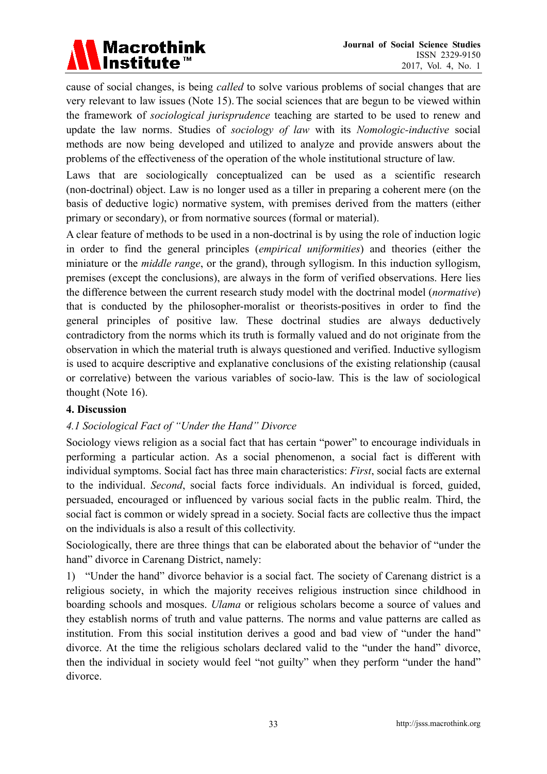## **Macrothink** <u>Institute</u>™

cause of social changes, is being *called* to solve various problems of social changes that are very relevant to law issues (Note 15). The social sciences that are begun to be viewed within the framework of *sociological jurisprudence* teaching are started to be used to renew and update the law norms. Studies of *sociology of law* with its *Nomologic-inductive* social methods are now being developed and utilized to analyze and provide answers about the problems of the effectiveness of the operation of the whole institutional structure of law.

Laws that are sociologically conceptualized can be used as a scientific research (non-doctrinal) object. Law is no longer used as a tiller in preparing a coherent mere (on the basis of deductive logic) normative system, with premises derived from the matters (either primary or secondary), or from normative sources (formal or material).

A clear feature of methods to be used in a non-doctrinal is by using the role of induction logic in order to find the general principles (*empirical uniformities*) and theories (either the miniature or the *middle range*, or the grand), through syllogism. In this induction syllogism, premises (except the conclusions), are always in the form of verified observations. Here lies the difference between the current research study model with the doctrinal model (*normative*) that is conducted by the philosopher-moralist or theorists-positives in order to find the general principles of positive law. These doctrinal studies are always deductively contradictory from the norms which its truth is formally valued and do not originate from the observation in which the material truth is always questioned and verified. Inductive syllogism is used to acquire descriptive and explanative conclusions of the existing relationship (causal or correlative) between the various variables of socio-law. This is the law of sociological thought (Note 16).

## **4. Discussion**

#### *4.1 Sociological Fact of "Under the Hand" Divorce*

Sociology views religion as a social fact that has certain "power" to encourage individuals in performing a particular action. As a social phenomenon, a social fact is different with individual symptoms. Social fact has three main characteristics: *First*, social facts are external to the individual. *Second*, social facts force individuals. An individual is forced, guided, persuaded, encouraged or influenced by various social facts in the public realm. Third, the social fact is common or widely spread in a society. Social facts are collective thus the impact on the individuals is also a result of this collectivity.

Sociologically, there are three things that can be elaborated about the behavior of "under the hand" divorce in Carenang District, namely:

1) "Under the hand" divorce behavior is a social fact. The society of Carenang district is a religious society, in which the majority receives religious instruction since childhood in boarding schools and mosques. *Ulama* or religious scholars become a source of values and they establish norms of truth and value patterns. The norms and value patterns are called as institution. From this social institution derives a good and bad view of "under the hand" divorce. At the time the religious scholars declared valid to the "under the hand" divorce, then the individual in society would feel "not guilty" when they perform "under the hand" divorce.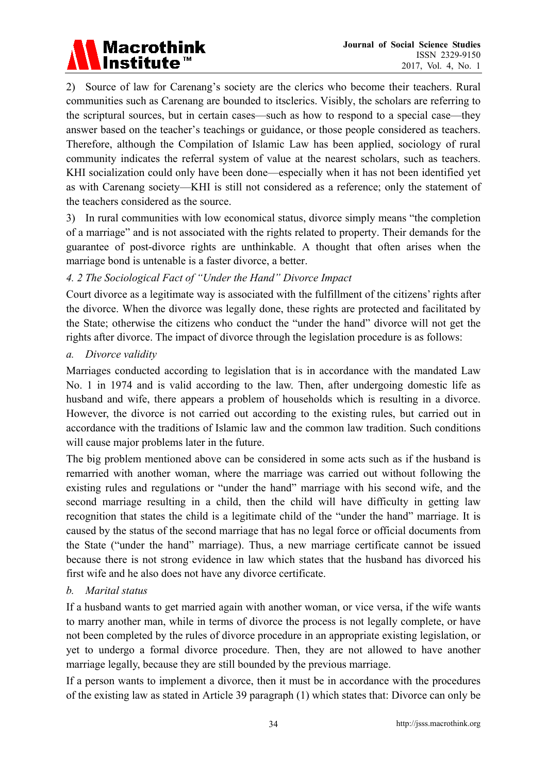## **Macrothink** Institute<sup>™</sup>

2) Source of law for Carenang's society are the clerics who become their teachers. Rural communities such as Carenang are bounded to itsclerics. Visibly, the scholars are referring to the scriptural sources, but in certain cases—such as how to respond to a special case—they answer based on the teacher's teachings or guidance, or those people considered as teachers. Therefore, although the Compilation of Islamic Law has been applied, sociology of rural community indicates the referral system of value at the nearest scholars, such as teachers. KHI socialization could only have been done—especially when it has not been identified yet as with Carenang society—KHI is still not considered as a reference; only the statement of the teachers considered as the source.

3) In rural communities with low economical status, divorce simply means "the completion of a marriage" and is not associated with the rights related to property. Their demands for the guarantee of post-divorce rights are unthinkable. A thought that often arises when the marriage bond is untenable is a faster divorce, a better.

## *4. 2 The Sociological Fact of "Under the Hand" Divorce Impact*

Court divorce as a legitimate way is associated with the fulfillment of the citizens' rights after the divorce. When the divorce was legally done, these rights are protected and facilitated by the State; otherwise the citizens who conduct the "under the hand" divorce will not get the rights after divorce. The impact of divorce through the legislation procedure is as follows:

#### *a. Divorce validity*

Marriages conducted according to legislation that is in accordance with the mandated Law No. 1 in 1974 and is valid according to the law. Then, after undergoing domestic life as husband and wife, there appears a problem of households which is resulting in a divorce. However, the divorce is not carried out according to the existing rules, but carried out in accordance with the traditions of Islamic law and the common law tradition. Such conditions will cause major problems later in the future.

The big problem mentioned above can be considered in some acts such as if the husband is remarried with another woman, where the marriage was carried out without following the existing rules and regulations or "under the hand" marriage with his second wife, and the second marriage resulting in a child, then the child will have difficulty in getting law recognition that states the child is a legitimate child of the "under the hand" marriage. It is caused by the status of the second marriage that has no legal force or official documents from the State ("under the hand" marriage). Thus, a new marriage certificate cannot be issued because there is not strong evidence in law which states that the husband has divorced his first wife and he also does not have any divorce certificate.

#### *b. Marital status*

If a husband wants to get married again with another woman, or vice versa, if the wife wants to marry another man, while in terms of divorce the process is not legally complete, or have not been completed by the rules of divorce procedure in an appropriate existing legislation, or yet to undergo a formal divorce procedure. Then, they are not allowed to have another marriage legally, because they are still bounded by the previous marriage.

If a person wants to implement a divorce, then it must be in accordance with the procedures of the existing law as stated in Article 39 paragraph (1) which states that: Divorce can only be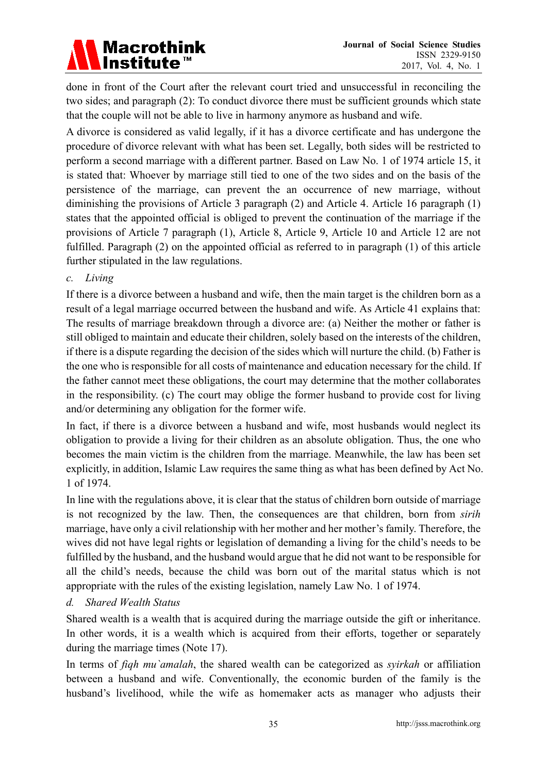## **Macrothink** Institute<sup>™</sup>

done in front of the Court after the relevant court tried and unsuccessful in reconciling the two sides; and paragraph (2): To conduct divorce there must be sufficient grounds which state that the couple will not be able to live in harmony anymore as husband and wife.

A divorce is considered as valid legally, if it has a divorce certificate and has undergone the procedure of divorce relevant with what has been set. Legally, both sides will be restricted to perform a second marriage with a different partner. Based on Law No. 1 of 1974 article 15, it is stated that: Whoever by marriage still tied to one of the two sides and on the basis of the persistence of the marriage, can prevent the an occurrence of new marriage, without diminishing the provisions of Article 3 paragraph (2) and Article 4. Article 16 paragraph (1) states that the appointed official is obliged to prevent the continuation of the marriage if the provisions of Article 7 paragraph (1), Article 8, Article 9, Article 10 and Article 12 are not fulfilled. Paragraph (2) on the appointed official as referred to in paragraph (1) of this article further stipulated in the law regulations.

#### *c. Living*

If there is a divorce between a husband and wife, then the main target is the children born as a result of a legal marriage occurred between the husband and wife. As Article 41 explains that: The results of marriage breakdown through a divorce are: (a) Neither the mother or father is still obliged to maintain and educate their children, solely based on the interests of the children, if there is a dispute regarding the decision of the sides which will nurture the child. (b) Father is the one who is responsible for all costs of maintenance and education necessary for the child. If the father cannot meet these obligations, the court may determine that the mother collaborates in the responsibility. (c) The court may oblige the former husband to provide cost for living and/or determining any obligation for the former wife.

In fact, if there is a divorce between a husband and wife, most husbands would neglect its obligation to provide a living for their children as an absolute obligation. Thus, the one who becomes the main victim is the children from the marriage. Meanwhile, the law has been set explicitly, in addition, Islamic Law requires the same thing as what has been defined by Act No. 1 of 1974.

In line with the regulations above, it is clear that the status of children born outside of marriage is not recognized by the law. Then, the consequences are that children, born from *sirih*  marriage, have only a civil relationship with her mother and her mother's family. Therefore, the wives did not have legal rights or legislation of demanding a living for the child's needs to be fulfilled by the husband, and the husband would argue that he did not want to be responsible for all the child's needs, because the child was born out of the marital status which is not appropriate with the rules of the existing legislation, namely Law No. 1 of 1974.

#### *d. Shared Wealth Status*

Shared wealth is a wealth that is acquired during the marriage outside the gift or inheritance. In other words, it is a wealth which is acquired from their efforts, together or separately during the marriage times (Note 17).

In terms of *fiqh mu`amalah*, the shared wealth can be categorized as *syirkah* or affiliation between a husband and wife. Conventionally, the economic burden of the family is the husband's livelihood, while the wife as homemaker acts as manager who adjusts their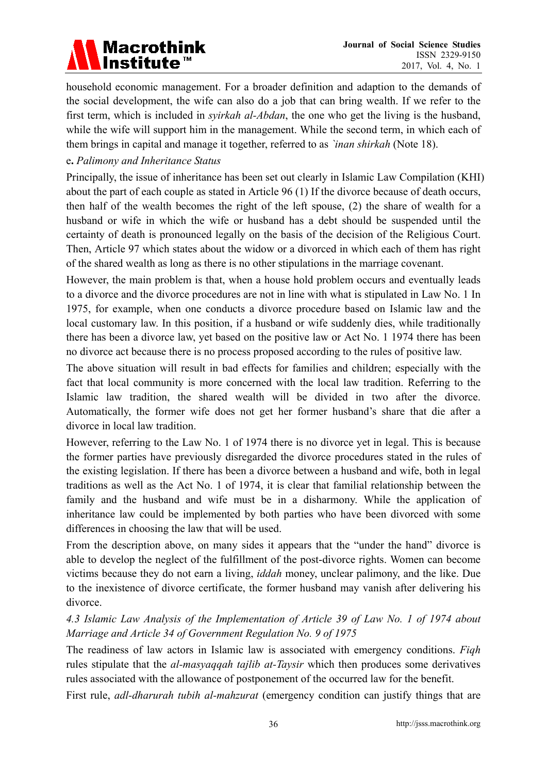## **Macrothink** <u>Institute</u>™

household economic management. For a broader definition and adaption to the demands of the social development, the wife can also do a job that can bring wealth. If we refer to the first term, which is included in *syirkah al-Abdan*, the one who get the living is the husband, while the wife will support him in the management. While the second term, in which each of them brings in capital and manage it together, referred to as *`inan shirkah* (Note 18).

### e**.** *Palimony and Inheritance Status*

Principally, the issue of inheritance has been set out clearly in Islamic Law Compilation (KHI) about the part of each couple as stated in Article 96 (1) If the divorce because of death occurs, then half of the wealth becomes the right of the left spouse, (2) the share of wealth for a husband or wife in which the wife or husband has a debt should be suspended until the certainty of death is pronounced legally on the basis of the decision of the Religious Court. Then, Article 97 which states about the widow or a divorced in which each of them has right of the shared wealth as long as there is no other stipulations in the marriage covenant.

However, the main problem is that, when a house hold problem occurs and eventually leads to a divorce and the divorce procedures are not in line with what is stipulated in Law No. 1 In 1975, for example, when one conducts a divorce procedure based on Islamic law and the local customary law. In this position, if a husband or wife suddenly dies, while traditionally there has been a divorce law, yet based on the positive law or Act No. 1 1974 there has been no divorce act because there is no process proposed according to the rules of positive law.

The above situation will result in bad effects for families and children; especially with the fact that local community is more concerned with the local law tradition. Referring to the Islamic law tradition, the shared wealth will be divided in two after the divorce. Automatically, the former wife does not get her former husband's share that die after a divorce in local law tradition.

However, referring to the Law No. 1 of 1974 there is no divorce yet in legal. This is because the former parties have previously disregarded the divorce procedures stated in the rules of the existing legislation. If there has been a divorce between a husband and wife, both in legal traditions as well as the Act No. 1 of 1974, it is clear that familial relationship between the family and the husband and wife must be in a disharmony. While the application of inheritance law could be implemented by both parties who have been divorced with some differences in choosing the law that will be used.

From the description above, on many sides it appears that the "under the hand" divorce is able to develop the neglect of the fulfillment of the post-divorce rights. Women can become victims because they do not earn a living, *iddah* money, unclear palimony, and the like. Due to the inexistence of divorce certificate, the former husband may vanish after delivering his divorce.

## *4.3 Islamic Law Analysis of the Implementation of Article 39 of Law No. 1 of 1974 about Marriage and Article 34 of Government Regulation No. 9 of 1975*

The readiness of law actors in Islamic law is associated with emergency conditions. *Fiqh*  rules stipulate that the *al-masyaqqah tajlib at-Taysir* which then produces some derivatives rules associated with the allowance of postponement of the occurred law for the benefit.

First rule, *adl-dharurah tubih al-mahzurat* (emergency condition can justify things that are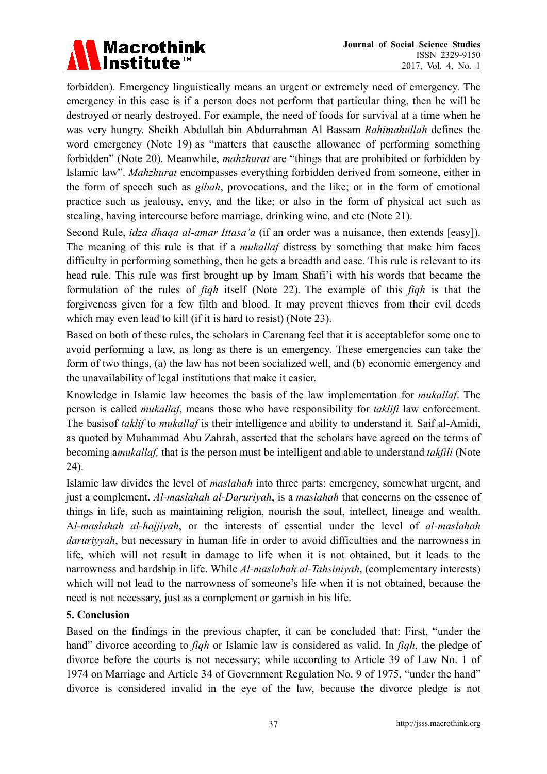## **Macrothink** Institute™

forbidden). Emergency linguistically means an urgent or extremely need of emergency. The emergency in this case is if a person does not perform that particular thing, then he will be destroyed or nearly destroyed. For example, the need of foods for survival at a time when he was very hungry. Sheikh Abdullah bin Abdurrahman Al Bassam *Rahimahullah* defines the word emergency (Note 19) as "matters that causethe allowance of performing something forbidden" (Note 20). Meanwhile, *mahzhurat* are "things that are prohibited or forbidden by Islamic law". *Mahzhurat* encompasses everything forbidden derived from someone, either in the form of speech such as *gibah*, provocations, and the like; or in the form of emotional practice such as jealousy, envy, and the like; or also in the form of physical act such as stealing, having intercourse before marriage, drinking wine, and etc (Note 21).

Second Rule, *idza dhaqa al-amar Ittasa'a* (if an order was a nuisance, then extends [easy]). The meaning of this rule is that if a *mukallaf* distress by something that make him faces difficulty in performing something, then he gets a breadth and ease. This rule is relevant to its head rule. This rule was first brought up by Imam Shafi'i with his words that became the formulation of the rules of *fiqh* itself (Note 22). The example of this *fiqh* is that the forgiveness given for a few filth and blood. It may prevent thieves from their evil deeds which may even lead to kill (if it is hard to resist) (Note 23).

Based on both of these rules, the scholars in Carenang feel that it is acceptablefor some one to avoid performing a law, as long as there is an emergency. These emergencies can take the form of two things, (a) the law has not been socialized well, and (b) economic emergency and the unavailability of legal institutions that make it easier.

Knowledge in Islamic law becomes the basis of the law implementation for *mukallaf*. The person is called *mukallaf*, means those who have responsibility for *taklifi* law enforcement. The basisof *taklif* to *mukallaf* is their intelligence and ability to understand it. Saif al-Amidi, as quoted by Muhammad Abu Zahrah, asserted that the scholars have agreed on the terms of becoming a*mukallaf,* that is the person must be intelligent and able to understand *takfili* (Note 24).

Islamic law divides the level of *maslahah* into three parts: emergency, somewhat urgent, and just a complement. *Al-maslahah al-Daruriyah*, is a *maslahah* that concerns on the essence of things in life, such as maintaining religion, nourish the soul, intellect, lineage and wealth. A*l-maslahah al-hajjiyah*, or the interests of essential under the level of *al-maslahah daruriyyah*, but necessary in human life in order to avoid difficulties and the narrowness in life, which will not result in damage to life when it is not obtained, but it leads to the narrowness and hardship in life. While *Al-maslahah al-Tahsiniyah*, (complementary interests) which will not lead to the narrowness of someone's life when it is not obtained, because the need is not necessary, just as a complement or garnish in his life.

## **5. Conclusion**

Based on the findings in the previous chapter, it can be concluded that: First, "under the hand" divorce according to *fiqh* or Islamic law is considered as valid. In *fiqh*, the pledge of divorce before the courts is not necessary; while according to Article 39 of Law No. 1 of 1974 on Marriage and Article 34 of Government Regulation No. 9 of 1975, "under the hand" divorce is considered invalid in the eye of the law, because the divorce pledge is not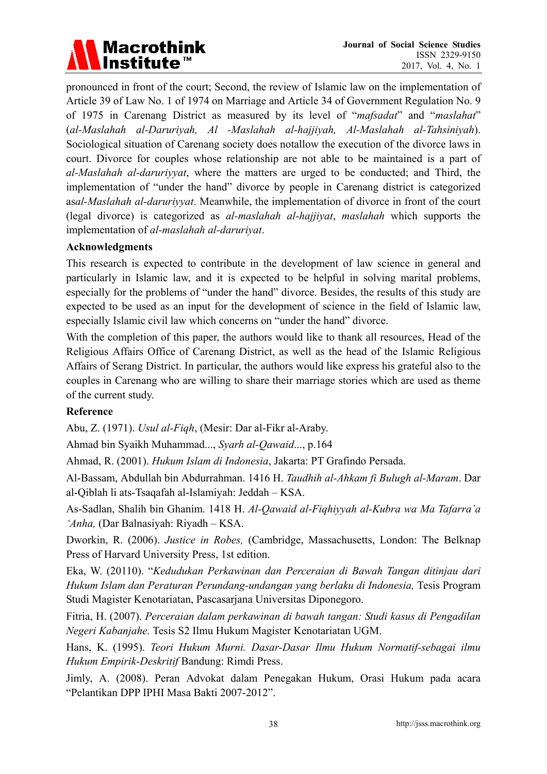

pronounced in front of the court; Second, the review of Islamic law on the implementation of Article 39 of Law No. 1 of 1974 on Marriage and Article 34 of Government Regulation No. 9 of 1975 in Carenang District as measured by its level of "*mafsadat*" and "*maslahat*" (*al-Maslahah al-Daruriyah, Al -Maslahah al-hajjiyah, Al-Maslahah al-Tahsiniyah*). Sociological situation of Carenang society does notallow the execution of the divorce laws in court. Divorce for couples whose relationship are not able to be maintained is a part of *al-Maslahah al-daruriyyat*, where the matters are urged to be conducted; and Third, the implementation of "under the hand" divorce by people in Carenang district is categorized as*al-Maslahah al-daruriyyat*. Meanwhile, the implementation of divorce in front of the court (legal divorce) is categorized as *al-maslahah al-hajjiyat*, *maslahah* which supports the implementation of *al-maslahah al-daruriyat*.

#### **Acknowledgments**

This research is expected to contribute in the development of law science in general and particularly in Islamic law, and it is expected to be helpful in solving marital problems, especially for the problems of "under the hand" divorce. Besides, the results of this study are expected to be used as an input for the development of science in the field of Islamic law, especially Islamic civil law which concerns on "under the hand" divorce.

With the completion of this paper, the authors would like to thank all resources, Head of the Religious Affairs Office of Carenang District, as well as the head of the Islamic Religious Affairs of Serang District. In particular, the authors would like express his grateful also to the couples in Carenang who are willing to share their marriage stories which are used as theme of the current study.

#### **Reference**

Abu, Z. (1971). *Usul al-Fiqh*, (Mesir: Dar al-Fikr al-Araby.

Ahmad bin Syaikh Muhammad..., *Syarh al-Qawaid*..., p.164

Ahmad, R. (2001). *Hukum Islam di Indonesia*, Jakarta: PT Grafindo Persada.

Al-Bassam, Abdullah bin Abdurrahman. 1416 H. *Taudhih al-Ahkam fi Bulugh al-Maram*. Dar al-Qiblah li ats-Tsaqafah al-Islamiyah: Jeddah – KSA.

As-Sadlan, Shalih bin Ghanim. 1418 H. *Al-Qawaid al-Fiqhiyyah al-Kubra wa Ma Tafarra'a 'Anha,* (Dar Balnasiyah: Riyadh – KSA.

Dworkin, R. (2006). *Justice in Robes,* (Cambridge, Massachusetts, London: The Belknap Press of Harvard University Press, 1st edition.

Eka, W. (20110). "*Kedudukan Perkawinan dan Perceraian di Bawah Tangan ditinjau dari Hukum Islam dan Peraturan Perundang-undangan yang berlaku di Indonesia,* Tesis Program Studi Magister Kenotariatan, Pascasarjana Universitas Diponegoro.

Fitria, H. (2007). *Perceraian dalam perkawinan di bawah tangan: Studi kasus di Pengadilan Negeri Kabanjahe.* Tesis S2 Ilmu Hukum Magister Kenotariatan UGM.

Hans, K. (1995). *Teori Hukum Murni. Dasar-Dasar Ilmu Hukum Normatif-sebagai ilmu Hukum Empirik-Deskritif* Bandung: Rimdi Press.

Jimly, A. (2008). Peran Advokat dalam Penegakan Hukum, Orasi Hukum pada acara "Pelantikan DPP IPHI Masa Bakti 2007-2012".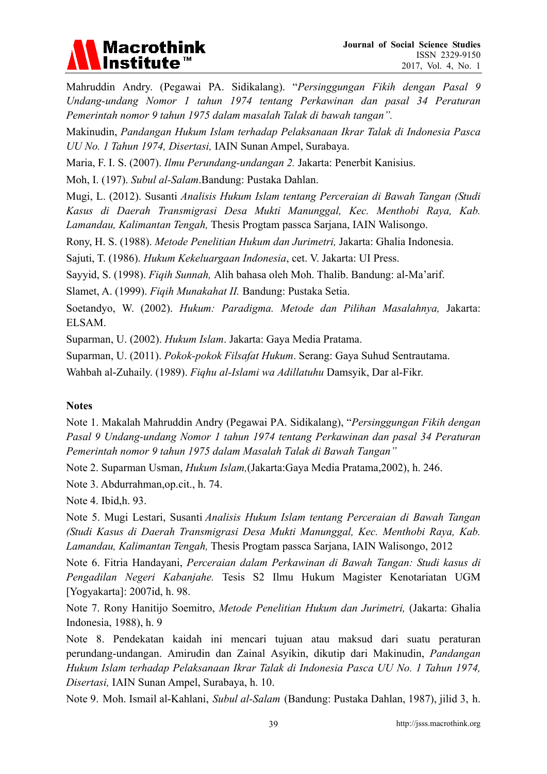

Mahruddin Andry. (Pegawai PA. Sidikalang). "*Persinggungan Fikih dengan Pasal 9 Undang-undang Nomor 1 tahun 1974 tentang Perkawinan dan pasal 34 Peraturan Pemerintah nomor 9 tahun 1975 dalam masalah Talak di bawah tangan".*

Makinudin, *Pandangan Hukum Islam terhadap Pelaksanaan Ikrar Talak di Indonesia Pasca UU No. 1 Tahun 1974, Disertasi,* IAIN Sunan Ampel, Surabaya.

Maria, F. I. S. (2007). *Ilmu Perundang-undangan 2.* Jakarta: Penerbit Kanisius.

Moh, I. (197). *Subul al-Salam*.Bandung: Pustaka Dahlan.

Mugi, L. (2012). Susanti *Analisis Hukum Islam tentang Perceraian di Bawah Tangan (Studi Kasus di Daerah Transmigrasi Desa Mukti Manunggal, Kec. Menthobi Raya, Kab. Lamandau, Kalimantan Tengah,* Thesis Progtam passca Sarjana, IAIN Walisongo.

Rony, H. S. (1988). *Metode Penelitian Hukum dan Jurimetri,* Jakarta: Ghalia Indonesia.

Sajuti, T. (1986). *Hukum Kekeluargaan Indonesia*, cet. V. Jakarta: UI Press.

Sayyid, S. (1998). *Fiqih Sunnah,* Alih bahasa oleh Moh. Thalib. Bandung: al-Ma'arif.

Slamet, A. (1999). *Fiqih Munakahat II.* Bandung: Pustaka Setia.

Soetandyo, W. (2002). *Hukum: Paradigma. Metode dan Pilihan Masalahnya,* Jakarta: ELSAM.

Suparman, U. (2002). *Hukum Islam*. Jakarta: Gaya Media Pratama.

Suparman, U. (2011). *Pokok-pokok Filsafat Hukum*. Serang: Gaya Suhud Sentrautama.

Wahbah al-Zuhaily. (1989). *Fiqhu al-Islami wa Adillatuhu* Damsyik, Dar al-Fikr.

#### **Notes**

Note 1. Makalah Mahruddin Andry (Pegawai PA. Sidikalang), "*Persinggungan Fikih dengan Pasal 9 Undang-undang Nomor 1 tahun 1974 tentang Perkawinan dan pasal 34 Peraturan Pemerintah nomor 9 tahun 1975 dalam Masalah Talak di Bawah Tangan"*

Note 2. Suparman Usman, *Hukum Islam,*(Jakarta:Gaya Media Pratama,2002), h. 246.

Note 3. Abdurrahman,op.cit., h. 74.

Note 4. Ibid,h. 93.

Note 5. Mugi Lestari, Susanti *Analisis Hukum Islam tentang Perceraian di Bawah Tangan (Studi Kasus di Daerah Transmigrasi Desa Mukti Manunggal, Kec. Menthobi Raya, Kab. Lamandau, Kalimantan Tengah,* Thesis Progtam passca Sarjana, IAIN Walisongo, 2012

Note 6. Fitria Handayani, *Perceraian dalam Perkawinan di Bawah Tangan: Studi kasus di Pengadilan Negeri Kabanjahe.* Tesis S2 Ilmu Hukum Magister Kenotariatan UGM [Yogyakarta]: 2007id, h. 98.

Note 7. Rony Hanitijo Soemitro, *Metode Penelitian Hukum dan Jurimetri,* (Jakarta: Ghalia Indonesia, 1988), h. 9

Note 8. Pendekatan kaidah ini mencari tujuan atau maksud dari suatu peraturan perundang-undangan. Amirudin dan Zainal Asyikin, dikutip dari Makinudin, *Pandangan Hukum Islam terhadap Pelaksanaan Ikrar Talak di Indonesia Pasca UU No. 1 Tahun 1974, Disertasi,* IAIN Sunan Ampel, Surabaya, h. 10.

Note 9. Moh. Ismail al-Kahlani, *Subul al-Salam* (Bandung: Pustaka Dahlan, 1987), jilid 3, h.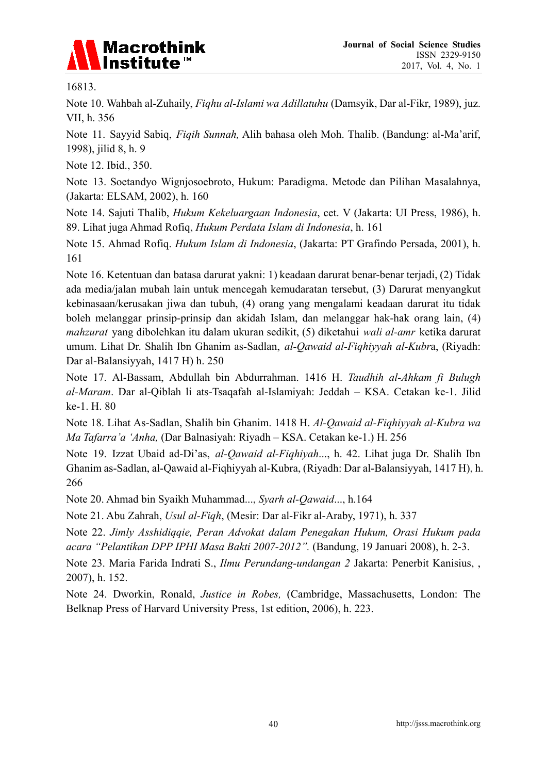

16813.

Note 10. Wahbah al-Zuhaily, *Fiqhu al-Islami wa Adillatuhu* (Damsyik, Dar al-Fikr, 1989), juz. VII, h. 356

Note 11. Sayyid Sabiq, *Fiqih Sunnah,* Alih bahasa oleh Moh. Thalib. (Bandung: al-Ma'arif, 1998), jilid 8, h. 9

Note 12. Ibid., 350.

Note 13. Soetandyo Wignjosoebroto, Hukum: Paradigma. Metode dan Pilihan Masalahnya, (Jakarta: ELSAM, 2002), h. 160

Note 14. Sajuti Thalib, *Hukum Kekeluargaan Indonesia*, cet. V (Jakarta: UI Press, 1986), h. 89. Lihat juga Ahmad Rofiq, *Hukum Perdata Islam di Indonesia*, h. 161

Note 15. Ahmad Rofiq. *Hukum Islam di Indonesia*, (Jakarta: PT Grafindo Persada, 2001), h. 161

Note 16. Ketentuan dan batasa darurat yakni: 1) keadaan darurat benar-benar terjadi, (2) Tidak ada media/jalan mubah lain untuk mencegah kemudaratan tersebut, (3) Darurat menyangkut kebinasaan/kerusakan jiwa dan tubuh, (4) orang yang mengalami keadaan darurat itu tidak boleh melanggar prinsip-prinsip dan akidah Islam, dan melanggar hak-hak orang lain, (4) *mahzurat* yang dibolehkan itu dalam ukuran sedikit, (5) diketahui *wali al-amr* ketika darurat umum. Lihat Dr. Shalih Ibn Ghanim as-Sadlan, *al-Qawaid al-Fiqhiyyah al-Kubr*a, (Riyadh: Dar al-Balansiyyah, 1417 H) h. 250

Note 17. Al-Bassam, Abdullah bin Abdurrahman. 1416 H. *Taudhih al-Ahkam fi Bulugh al-Maram*. Dar al-Qiblah li ats-Tsaqafah al-Islamiyah: Jeddah – KSA. Cetakan ke-1. Jilid ke-1. H. 80

Note 18. Lihat As-Sadlan, Shalih bin Ghanim. 1418 H. *Al-Qawaid al-Fiqhiyyah al-Kubra wa Ma Tafarra'a 'Anha,* (Dar Balnasiyah: Riyadh – KSA. Cetakan ke-1.) H. 256

Note 19. Izzat Ubaid ad-Di'as, *al-Qawaid al-Fiqhiyah*..., h. 42. Lihat juga Dr. Shalih Ibn Ghanim as-Sadlan, al-Qawaid al-Fiqhiyyah al-Kubra, (Riyadh: Dar al-Balansiyyah, 1417 H), h. 266

Note 20. Ahmad bin Syaikh Muhammad..., *Syarh al-Qawaid*..., h.164

Note 21. Abu Zahrah, *Usul al-Fiqh*, (Mesir: Dar al-Fikr al-Araby, 1971), h. 337

Note 22. *Jimly Asshidiqqie, Peran Advokat dalam Penegakan Hukum, Orasi Hukum pada acara "Pelantikan DPP IPHI Masa Bakti 2007-2012".* (Bandung, 19 Januari 2008), h. 2-3.

Note 23. Maria Farida Indrati S., *Ilmu Perundang-undangan 2* Jakarta: Penerbit Kanisius, , 2007), h. 152.

Note 24. Dworkin, Ronald, *Justice in Robes,* (Cambridge, Massachusetts, London: The Belknap Press of Harvard University Press, 1st edition, 2006), h. 223.